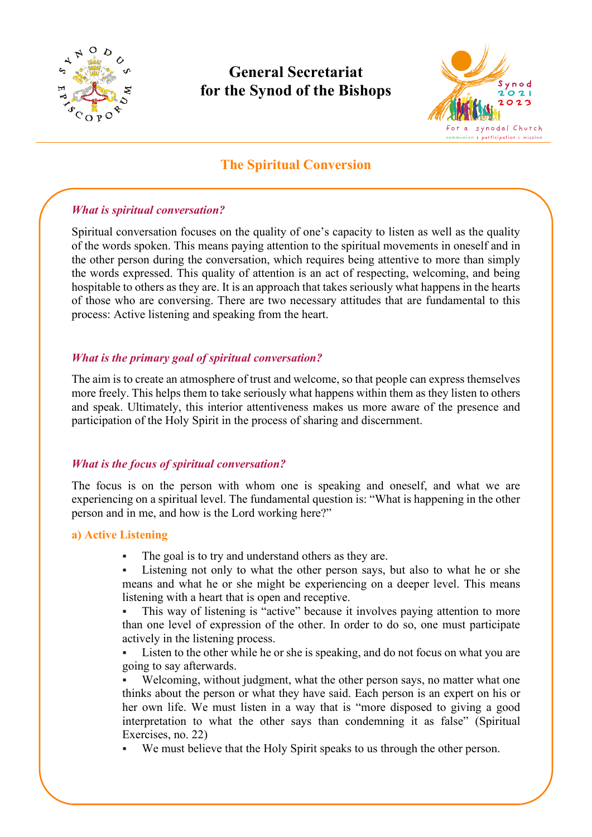

# **General Secretariat for the Synod of the Bishops**



# **The Spiritual Conversion**

### *What is spiritual conversation?*

Spiritual conversation focuses on the quality of one's capacity to listen as well as the quality of the words spoken. This means paying attention to the spiritual movements in oneself and in the other person during the conversation, which requires being attentive to more than simply the words expressed. This quality of attention is an act of respecting, welcoming, and being hospitable to others as they are. It is an approach that takes seriously what happens in the hearts of those who are conversing. There are two necessary attitudes that are fundamental to this process: Active listening and speaking from the heart.

# *What is the primary goal of spiritual conversation?*

The aim is to create an atmosphere of trust and welcome, so that people can express themselves more freely. This helps them to take seriously what happens within them as they listen to others and speak. Ultimately, this interior attentiveness makes us more aware of the presence and participation of the Holy Spirit in the process of sharing and discernment.

### *What is the focus of spiritual conversation?*

The focus is on the person with whom one is speaking and oneself, and what we are experiencing on a spiritual level. The fundamental question is: "What is happening in the other person and in me, and how is the Lord working here?"

### **a) Active Listening**

- The goal is to try and understand others as they are.
- Listening not only to what the other person says, but also to what he or she means and what he or she might be experiencing on a deeper level. This means listening with a heart that is open and receptive.

 This way of listening is "active" because it involves paying attention to more than one level of expression of the other. In order to do so, one must participate actively in the listening process.

 Listen to the other while he or she is speaking, and do not focus on what you are going to say afterwards.

 Welcoming, without judgment, what the other person says, no matter what one thinks about the person or what they have said. Each person is an expert on his or her own life. We must listen in a way that is "more disposed to giving a good interpretation to what the other says than condemning it as false" (Spiritual Exercises, no. 22)

We must believe that the Holy Spirit speaks to us through the other person.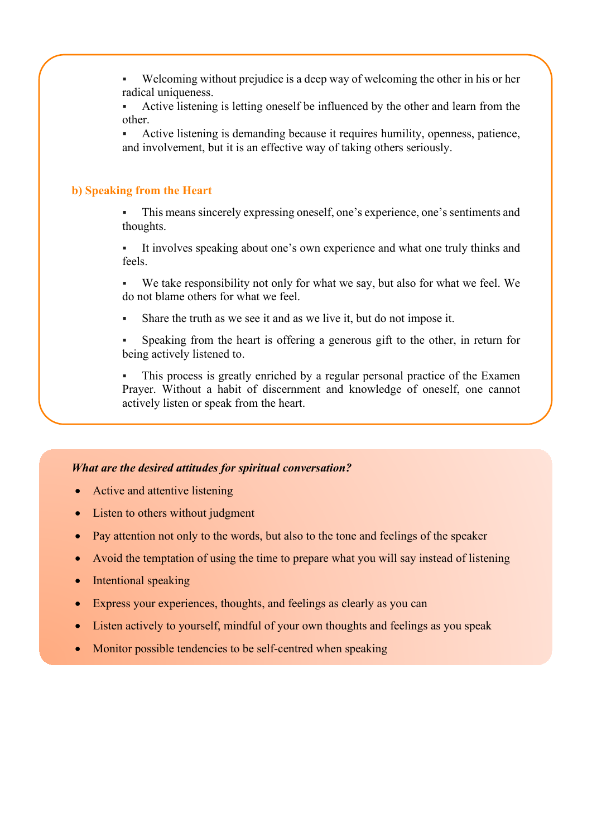Welcoming without prejudice is a deep way of welcoming the other in his or her radical uniqueness.

 Active listening is letting oneself be influenced by the other and learn from the other.

 Active listening is demanding because it requires humility, openness, patience, and involvement, but it is an effective way of taking others seriously.

# **b) Speaking from the Heart**

 This means sincerely expressing oneself, one's experience, one's sentiments and thoughts.

 It involves speaking about one's own experience and what one truly thinks and feels.

 We take responsibility not only for what we say, but also for what we feel. We do not blame others for what we feel.

Share the truth as we see it and as we live it, but do not impose it.

 Speaking from the heart is offering a generous gift to the other, in return for being actively listened to.

 This process is greatly enriched by a regular personal practice of the Examen Prayer. Without a habit of discernment and knowledge of oneself, one cannot actively listen or speak from the heart.

#### *What are the desired attitudes for spiritual conversation?*

- Active and attentive listening
- Listen to others without judgment
- Pay attention not only to the words, but also to the tone and feelings of the speaker
- Avoid the temptation of using the time to prepare what you will say instead of listening
- Intentional speaking
- Express your experiences, thoughts, and feelings as clearly as you can
- Listen actively to yourself, mindful of your own thoughts and feelings as you speak
- Monitor possible tendencies to be self-centred when speaking